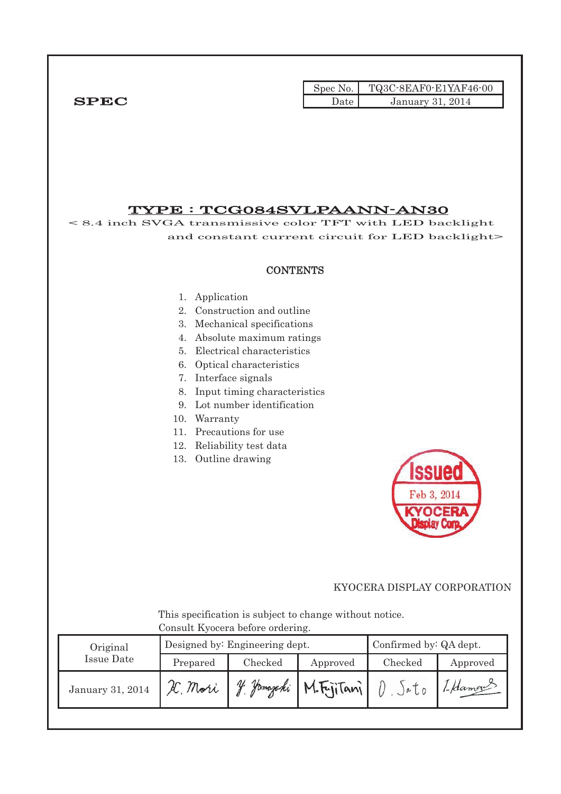|              |      | Spec No. $TQ3C-8EAF0-E1YAF46-00$ |
|--------------|------|----------------------------------|
| ${\bf SPEC}$ | )ate | January 31, 2014                 |

TYPE : TCG084SVLPAANN-AN30 < 8.4 inch SVGA transmissive color TFT with LED backlight and constant current circuit for LED backlight> **CONTENTS** 1. Application 2. Construction and outline 3. Mechanical specifications 4. Absolute maximum ratings 5. Electrical characteristics 6. Optical characteristics 7. Interface signals 8. Input timing characteristics 9. Lot number identification 10. Warranty 11. Precautions for use 12. Reliability test data 13. Outline drawing Feb 3, 201 This specification is subject to change without notice. Consult Kyocera before ordering. Designed by: Engineering dept. Confirmed by: QA dept. Original Issue Date Prepared Checked Approved Checked Approved January 31, 2014 X. Mori J. Jamajaki M. Fujitani I Hamans  $D.$   $Sato$ 

## KYOCERA DISPLAY CORPORATION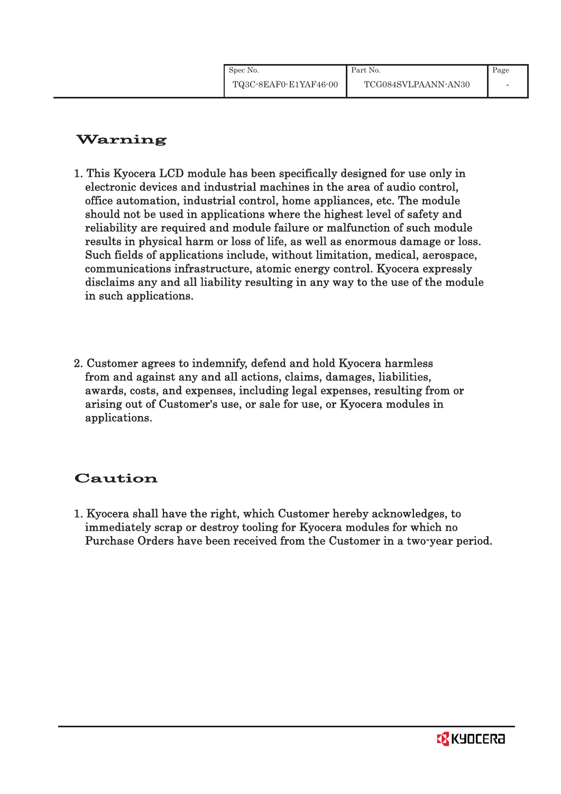# Warning

- 1. This Kyocera LCD module has been specifically designed for use only in electronic devices and industrial machines in the area of audio control, office automation, industrial control, home appliances, etc. The module should not be used in applications where the highest level of safety and reliability are required and module failure or malfunction of such module results in physical harm or loss of life, as well as enormous damage or loss. Such fields of applications include, without limitation, medical, aerospace, communications infrastructure, atomic energy control. Kyocera expressly disclaims any and all liability resulting in any way to the use of the module in such applications.
- 2. Customer agrees to indemnify, defend and hold Kyocera harmless from and against any and all actions, claims, damages, liabilities, awards, costs, and expenses, including legal expenses, resulting from or arising out of Customer's use, or sale for use, or Kyocera modules in applications.

# Caution

1. Kyocera shall have the right, which Customer hereby acknowledges, to immediately scrap or destroy tooling for Kyocera modules for which no Purchase Orders have been received from the Customer in a two-year period.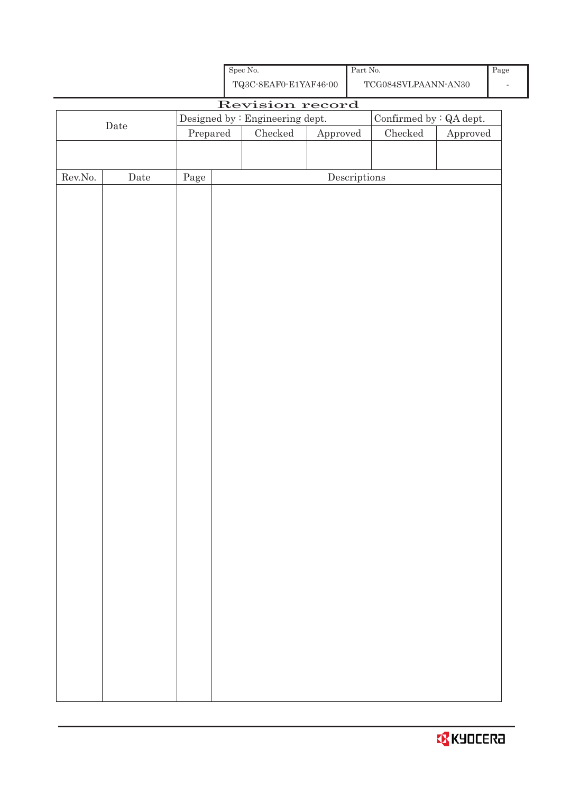| <b>R</b> KYOCERƏ |  |
|------------------|--|
|                  |  |

|                  | TQ3C-8EAF0-E1YAF46-00<br>$\operatorname{TCG084SVLPAANN-AN30}$ |            |  |                                 |          |                                      |                         |          |  |
|------------------|---------------------------------------------------------------|------------|--|---------------------------------|----------|--------------------------------------|-------------------------|----------|--|
|                  |                                                               |            |  | Revision record                 |          |                                      |                         |          |  |
|                  | $\rm{Date}$                                                   |            |  | Designed by : Engineering dept. |          |                                      | Confirmed by : QA dept. |          |  |
|                  |                                                               | Prepared   |  | $\rm Checked$                   | Approved |                                      | Checked                 | Approved |  |
|                  |                                                               |            |  |                                 |          |                                      |                         |          |  |
|                  |                                                               |            |  |                                 |          |                                      |                         |          |  |
| ${\rm Rev. No.}$ | $\rm{\textbf{Date}}$                                          | $\rm Page$ |  |                                 |          | $\label{eq:2} \textbf{Descriptions}$ |                         |          |  |
|                  |                                                               |            |  |                                 |          |                                      |                         |          |  |
|                  |                                                               |            |  |                                 |          |                                      |                         |          |  |
|                  |                                                               |            |  |                                 |          |                                      |                         |          |  |
|                  |                                                               |            |  |                                 |          |                                      |                         |          |  |
|                  |                                                               |            |  |                                 |          |                                      |                         |          |  |
|                  |                                                               |            |  |                                 |          |                                      |                         |          |  |
|                  |                                                               |            |  |                                 |          |                                      |                         |          |  |
|                  |                                                               |            |  |                                 |          |                                      |                         |          |  |
|                  |                                                               |            |  |                                 |          |                                      |                         |          |  |
|                  |                                                               |            |  |                                 |          |                                      |                         |          |  |
|                  |                                                               |            |  |                                 |          |                                      |                         |          |  |
|                  |                                                               |            |  |                                 |          |                                      |                         |          |  |
|                  |                                                               |            |  |                                 |          |                                      |                         |          |  |
|                  |                                                               |            |  |                                 |          |                                      |                         |          |  |
|                  |                                                               |            |  |                                 |          |                                      |                         |          |  |
|                  |                                                               |            |  |                                 |          |                                      |                         |          |  |
|                  |                                                               |            |  |                                 |          |                                      |                         |          |  |
|                  |                                                               |            |  |                                 |          |                                      |                         |          |  |
|                  |                                                               |            |  |                                 |          |                                      |                         |          |  |
|                  |                                                               |            |  |                                 |          |                                      |                         |          |  |
|                  |                                                               |            |  |                                 |          |                                      |                         |          |  |
|                  |                                                               |            |  |                                 |          |                                      |                         |          |  |
|                  |                                                               |            |  |                                 |          |                                      |                         |          |  |
|                  |                                                               |            |  |                                 |          |                                      |                         |          |  |
|                  |                                                               |            |  |                                 |          |                                      |                         |          |  |
|                  |                                                               |            |  |                                 |          |                                      |                         |          |  |
|                  |                                                               |            |  |                                 |          |                                      |                         |          |  |
|                  |                                                               |            |  |                                 |          |                                      |                         |          |  |
|                  |                                                               |            |  |                                 |          |                                      |                         |          |  |
|                  |                                                               |            |  |                                 |          |                                      |                         |          |  |
|                  |                                                               |            |  |                                 |          |                                      |                         |          |  |
|                  |                                                               |            |  |                                 |          |                                      |                         |          |  |

Spec No.

Part No.

-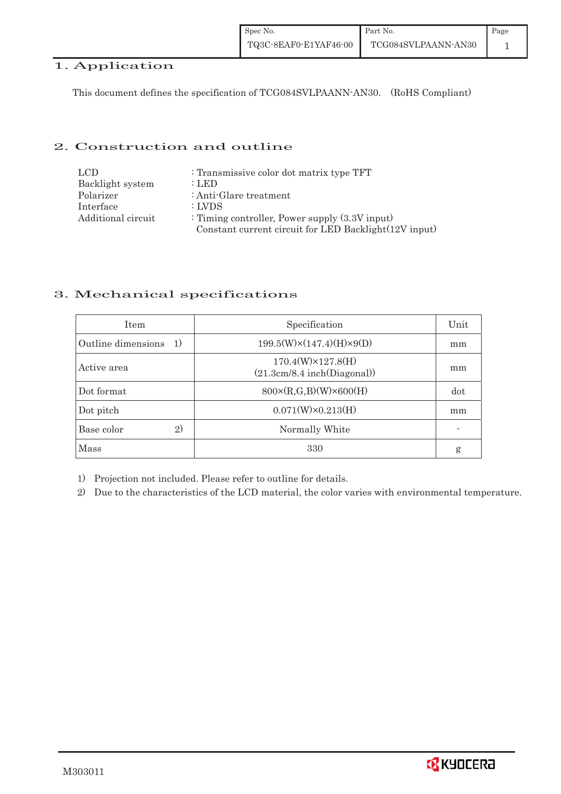| Spec No.              | Part No.            | Page |
|-----------------------|---------------------|------|
| TQ3C-8EAF0-E1YAF46-00 | TCG084SVLPAANN-AN30 |      |

## 1. Application

This document defines the specification of TCG084SVLPAANN-AN30. (RoHS Compliant)

#### 2. Construction and outline

| LCD.               | : Transmissive color dot matrix type TFT              |
|--------------------|-------------------------------------------------------|
| Backlight system   | : LED                                                 |
| Polarizer          | : Anti-Glare treatment                                |
| Interface          | : LVDS                                                |
| Additional circuit | : Timing controller, Power supply $(3.3V)$ input)     |
|                    | Constant current circuit for LED Backlight(12V input) |

#### 3. Mechanical specifications

| <b>Item</b>              | Specification                                            | Unit |
|--------------------------|----------------------------------------------------------|------|
| Outline dimensions<br>1) | $199.5(W)\times(147.4)(H)\times9(D)$                     | mm   |
| Active area              | $170.4(W)\times 127.8(H)$<br>(21.3cm/8.4 inch(Diagonal)) | mm   |
| Dot format               | $800 \times (R, G, B)(W) \times 600(H)$                  | dot  |
| Dot pitch                | $0.071(W)\times0.213(H)$                                 | mm   |
| 2)<br>Base color         | Normally White                                           |      |
| <b>Mass</b>              | 330                                                      | g    |

1) Projection not included. Please refer to outline for details.

2) Due to the characteristics of the LCD material, the color varies with environmental temperature.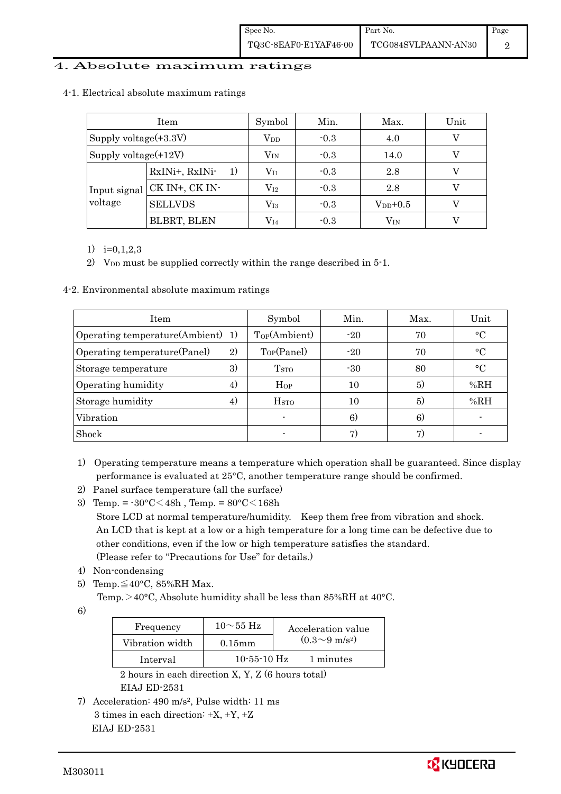#### 4. Absolute maximum ratings

| Item                                      |                    | Symbol       | Min.   | Max.          | Unit |
|-------------------------------------------|--------------------|--------------|--------|---------------|------|
| Supply voltage $(+3.3V)$                  |                    | $\rm V_{DD}$ | $-0.3$ | 4.0           |      |
| Supply voltage(+12V)                      |                    | $\rm V_{IN}$ | $-0.3$ | 14.0          |      |
| Input signal<br>voltage<br><b>SELLVDS</b> | RxINi+, RxINi-     | $\rm V_{I1}$ | $-0.3$ | 2.8           |      |
|                                           | CK IN+, CK IN-     | $\rm V_{I2}$ | $-0.3$ | 2.8           |      |
|                                           |                    | $\rm V_{I3}$ | $-0.3$ | $V_{DD}$ +0.5 |      |
|                                           | <b>BLBRT, BLEN</b> | $\rm V_{I4}$ | $-0.3$ | $\rm V_{IN}$  |      |

#### 4-1. Electrical absolute maximum ratings

1)  $i=0,1,2,3$ 

2) V<sub>DD</sub> must be supplied correctly within the range described in 5-1.

4-2. Environmental absolute maximum ratings

| Item                                 |    | Symbol                  | Min.  | Max. | Unit            |
|--------------------------------------|----|-------------------------|-------|------|-----------------|
| Operating temperature(Ambient)<br>1) |    | Top(Ambient)            | $-20$ | 70   | $\rm ^{\circ}C$ |
| Operating temperature (Panel)<br>2)  |    | Top(Panel)              | $-20$ | 70   | $\rm ^{\circ}C$ |
| Storage temperature                  | 3) | T <sub>STO</sub>        | $-30$ | 80   | $\rm ^{\circ}C$ |
| Operating humidity                   | 4) | $H_{OP}$                | 10    | 5)   | %RH             |
| Storage humidity                     | 4) | <b>H</b> <sub>sto</sub> | 10    | (5)  | %RH             |
| Vibration                            |    |                         | 6)    | 6)   |                 |
| Shock                                |    |                         | 7)    |      |                 |

- 1) Operating temperature means a temperature which operation shall be guaranteed. Since display performance is evaluated at 25°C, another temperature range should be confirmed.
- 2) Panel surface temperature (all the surface)
- 3) Temp. =  $-30^{\circ}$ C $<$ 48h, Temp. =  $80^{\circ}$ C $<$ 168h Store LCD at normal temperature/humidity. Keep them free from vibration and shock. An LCD that is kept at a low or a high temperature for a long time can be defective due to other conditions, even if the low or high temperature satisfies the standard. (Please refer to "Precautions for Use" for details.)
- 4) Non-condensing
- 5) Temp. $\leq 40^{\circ}$ C, 85%RH Max.
	- Temp. >40°C, Absolute humidity shall be less than 85%RH at 40°C.

6)

| Frequency       | $10\sim$ 55 Hz    | Acceleration value         |
|-----------------|-------------------|----------------------------|
| Vibration width | $0.15$ mm         | $(0.3{\sim}9~{\rm m/s^2})$ |
| Interval        | $10 - 55 - 10$ Hz | 1 minutes                  |

 2 hours in each direction X, Y, Z (6 hours total) EIAJ ED-2531

7) Acceleration: 490 m/s2, Pulse width: 11 ms 3 times in each direction:  $\pm X$ ,  $\pm Y$ ,  $\pm Z$ EIAJ ED-2531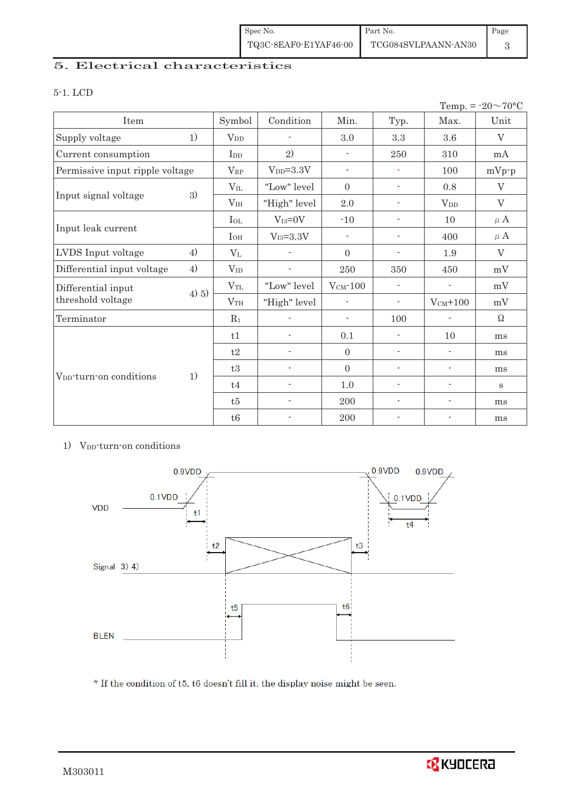| Spec No.              | Part No.            | Page |
|-----------------------|---------------------|------|
| TQ3C-8EAF0-E1YAF46-00 | TCG084SVLPAANN-AN30 |      |

## 5. Electrical characteristics

#### 5-1. LCD

| Temp. = $-20 \sim 70$ °C            |       |                 |                           |                          |                          |                          |          |
|-------------------------------------|-------|-----------------|---------------------------|--------------------------|--------------------------|--------------------------|----------|
| Item                                |       | Symbol          | Condition                 | Min.                     | Typ.                     | Max.                     | Unit     |
| Supply voltage                      | 1)    | $V_{DD}$        | $\overline{\phantom{a}}$  | 3.0                      | $\!.3$                   | 3.6                      | V        |
| Current consumption                 |       | I <sub>DD</sub> | 2)                        | $\overline{\phantom{a}}$ | 250                      | 310                      | mA       |
| Permissive input ripple voltage     |       | $V_{RP}$        | $VDD=3.3V$                | $\overline{\phantom{a}}$ | ÷,                       | 100                      | $mVp-p$  |
|                                     |       | $V_{IL}$        | "Low" level               | $\overline{0}$           | $\overline{\phantom{a}}$ | 0.8                      | V        |
| Input signal voltage                | 3)    | V <sub>IH</sub> | "High" level              | 2.0                      | $\overline{\phantom{0}}$ | $V_{DD}$                 | V        |
|                                     |       | $I_{OL}$        | $V_{I3}=0V$               | $-10$                    | $\overline{\phantom{a}}$ | 10                       | $\mu$ A  |
| Input leak current                  |       | $I_{OH}$        | $\rm V_{I3}\!\!=\!\!3.3V$ | $\overline{\phantom{a}}$ | $\overline{\phantom{a}}$ | 400                      | $\mu$ A  |
| LVDS Input voltage                  | 4)    | $V_{L}$         |                           |                          | $\blacksquare$           | 1.9                      | $\rm V$  |
| Differential input voltage          | 4)    | $V_{ID}$        |                           | 250                      | 350                      | 450                      | mV       |
| Differential input                  |       | $V_{TL}$        | "Low" level               | $V_{CM}$ -100            | $\overline{\phantom{a}}$ | $\overline{\phantom{a}}$ | mV       |
| threshold voltage                   | 4) 5) | V <sub>TH</sub> | "High" level              | $\overline{\phantom{a}}$ | $\overline{\phantom{a}}$ | $V_{CM}$ +100            | mV       |
| Terminator                          |       | $R_1$           |                           | $\overline{\phantom{a}}$ | 100                      | $\overline{\phantom{a}}$ | $\Omega$ |
|                                     |       | t1              | $\overline{\phantom{a}}$  | 0.1                      | $\overline{\phantom{a}}$ | 10                       | ms       |
|                                     |       | t2              | $\overline{\phantom{a}}$  | $\overline{0}$           | $\overline{\phantom{a}}$ | $\overline{\phantom{a}}$ | ms       |
|                                     |       | t3              |                           | $\overline{0}$           | $\overline{\phantom{a}}$ | $\overline{\phantom{a}}$ | ms       |
| V <sub>pp</sub> -turn-on conditions | 1)    | t4              | $\overline{\phantom{0}}$  | 1.0                      | $\overline{\phantom{a}}$ | $\overline{\phantom{a}}$ | $\bf S$  |
|                                     |       | t5              |                           | $200\,$                  |                          | $\overline{\phantom{a}}$ | ms       |
|                                     |       | t6              |                           | 200                      |                          | $\overline{a}$           | ms       |

#### 1) V<sub>DD</sub>-turn-on conditions



 $^\star$  If the condition of t5, t6 doesn't fill it, the display noise might be seen.

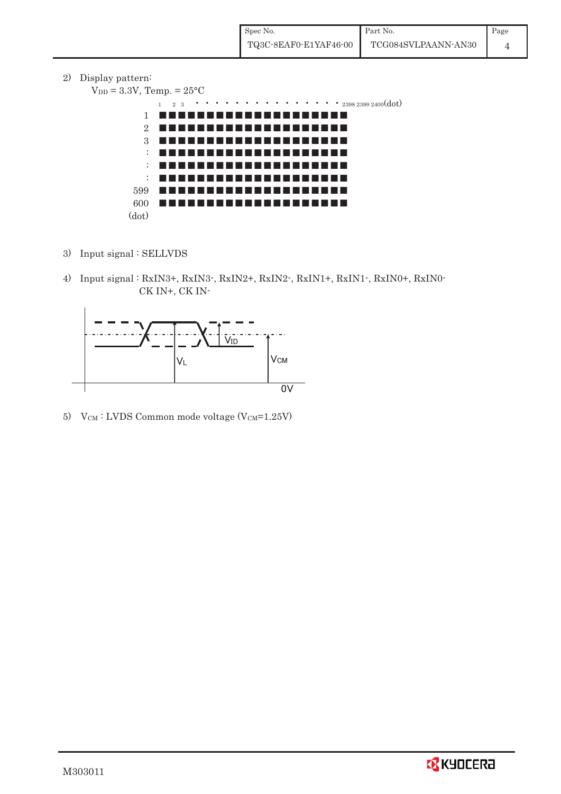2) Display pattern:

```
V_{DD} = 3.3V, Temp. = 25^{\circ}C
```


- 3) Input signal : SELLVDS
- 4) Input signal : RxIN3+, RxIN3-, RxIN2+, RxIN2-, RxIN1+, RxIN1-, RxIN0+, RxIN0- CK IN+, CK IN-



5) V $_{CM}$ : LVDS Common mode voltage (V $_{CM}$ =1.25V)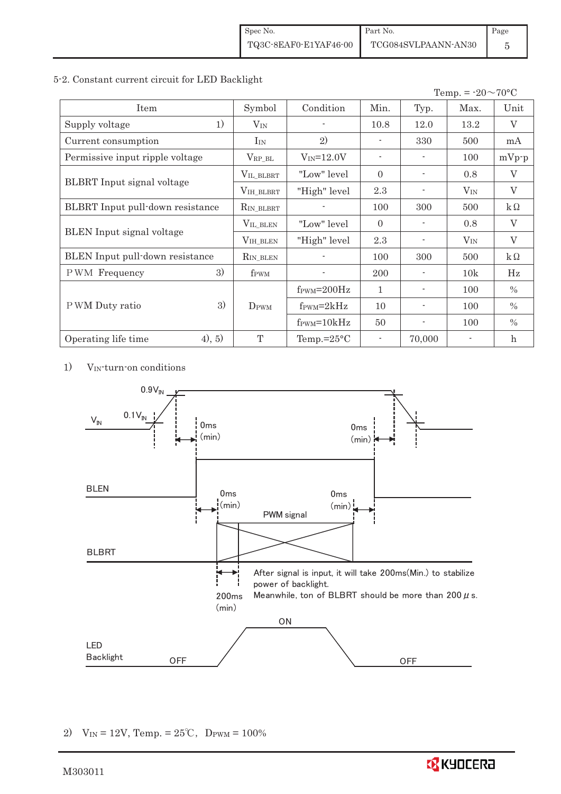#### 5-2. Constant current circuit for LED Backlight

| Temp. = $-20 \sim 70$ °C          |                  |                               |                |                          |          |               |
|-----------------------------------|------------------|-------------------------------|----------------|--------------------------|----------|---------------|
| Item                              | Symbol           | Condition                     | Min.           | Typ.                     | Max.     | Unit          |
| 1)<br>Supply voltage              | $V_{\rm IN}$     |                               | 10.8           | 12.0                     | 13.2     | $\rm V$       |
| Current consumption               | $I_{IN}$         | 2)                            |                | 330                      | 500      | mA            |
| Permissive input ripple voltage   | $V_{\rm RP\_BL}$ | $V_{IN} = 12.0V$              | $\overline{a}$ |                          | 100      | $mVp-p$       |
|                                   | VIL_BLBRT        | "Low" level                   | $\Omega$       | $\overline{\phantom{a}}$ | 0.8      | $\rm V$       |
| <b>BLBRT</b> Input signal voltage | VIH_BLBRT        | "High" level                  | 2.3            |                          | $V_{IN}$ | V             |
| BLBRT Input pull-down resistance  | $R_{IN\_BLBRT}$  |                               | 100            | 300                      | 500      | $k\Omega$     |
|                                   | VIL_BLEN         | "Low" level                   | $\Omega$       |                          | 0.8      | V             |
| <b>BLEN</b> Input signal voltage  | VIH_BLEN         | "High" level                  | 2.3            |                          | $V_{IN}$ | $\rm V$       |
| BLEN Input pull-down resistance   | $R_{IN\_BLEN}$   |                               | 100            | 300                      | 500      | $k\Omega$     |
| 3)<br><b>PWM</b> Frequency        | f <sub>PWM</sub> |                               | <b>200</b>     |                          | 10k      | Hz            |
|                                   |                  | $f_{\text{PWM}}=200\text{Hz}$ | $\mathbf{1}$   |                          | 100      | $\frac{0}{0}$ |
| 3)<br>P WM Duty ratio             | DPWM             | $f_{\rm PWM} = 2kHz$          | 10             | ۰                        | 100      | $\frac{0}{0}$ |
|                                   |                  | $f_{\text{PWM}} = 10kHz$      | 50             |                          | 100      | $\%$          |
| (4), 5)<br>Operating life time    | T                | Temp.= $25^{\circ}$ C         |                | 70,000                   |          | $\mathbf{h}$  |

1) VIN-turn-on conditions



2)  $V_{IN} = 12V$ , Temp. =  $25^{\circ}C$ , D<sub>PWM</sub> = 100%

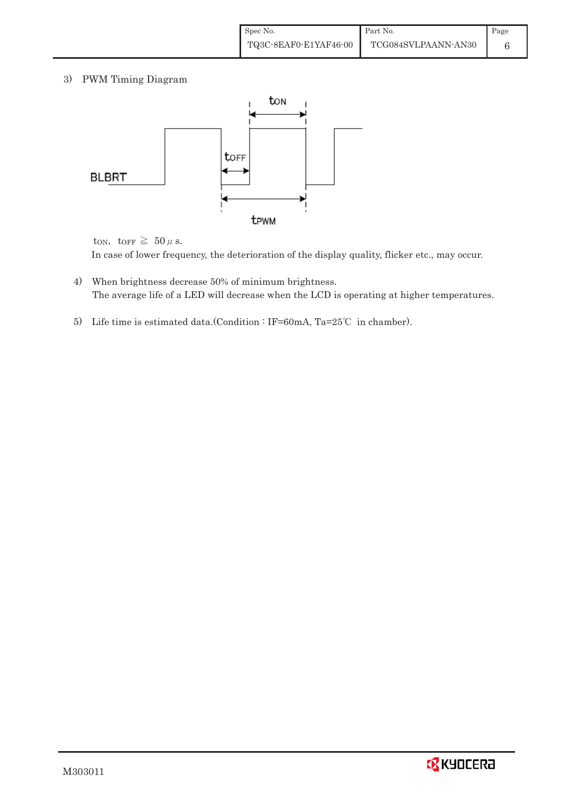3) PWM Timing Diagram



ton, torr  $\geq 50 \,\mu$  s.

In case of lower frequency, the deterioration of the display quality, flicker etc., may occur.

- 4) When brightness decrease 50% of minimum brightness. The average life of a LED will decrease when the LCD is operating at higher temperatures.
- 5) Life time is estimated data.(Condition : IF=60mA, Ta=25°C in chamber).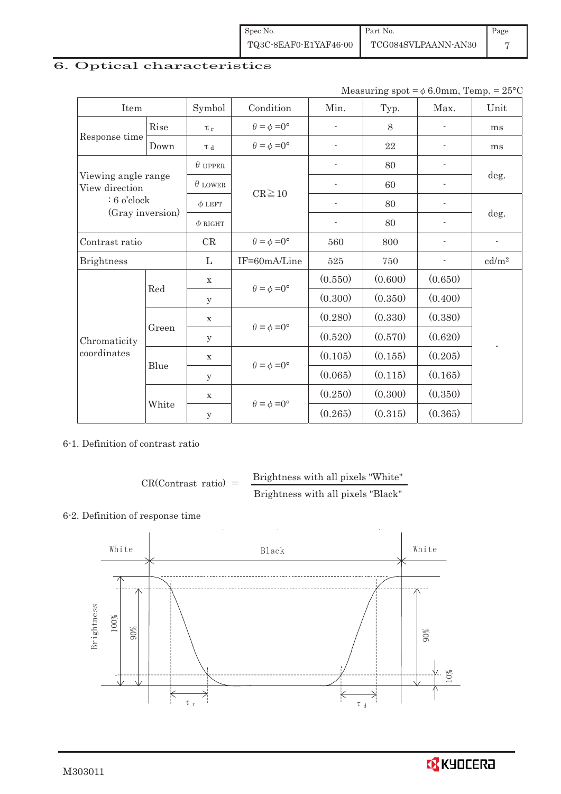| Spec No.              | Part No.            | Page |
|-----------------------|---------------------|------|
| TQ3C-8EAF0-E1YAF46-00 | TCG084SVLPAANN-AN30 |      |

# 6. Optical characteristics

| Measuring spot = $\phi$ 6.0mm, Temp. = 25°C |  |
|---------------------------------------------|--|
|---------------------------------------------|--|

| Item                                  |       | Symbol              | Condition                                                  | Min.                     | Typ.    | Max.                     | Unit              |
|---------------------------------------|-------|---------------------|------------------------------------------------------------|--------------------------|---------|--------------------------|-------------------|
|                                       | Rise  | $\tau_r$            | $\theta = \phi = 0^{\circ}$                                | $\overline{a}$           | 8       | ÷                        | ms                |
| Response time                         | Down  | $\tau$ <sub>d</sub> | $\theta = \phi = 0^{\circ}$                                |                          | 22      | $\overline{a}$           | ms                |
|                                       |       | $\theta$ UPPER      |                                                            |                          | 80      |                          |                   |
| Viewing angle range<br>View direction |       | $\theta$ LOWER      |                                                            |                          | 60      |                          | deg.              |
| $: 6$ o'clock                         |       | $\phi$ LEFT         | $CR \ge 10$                                                | $\overline{\phantom{a}}$ | 80      | $\overline{\phantom{a}}$ |                   |
| (Gray inversion)                      |       | $\phi$ right        |                                                            | $\overline{\phantom{a}}$ | 80      | $\overline{\phantom{0}}$ | deg.              |
| Contrast ratio                        | CR    |                     | $\theta = \phi = 0^{\circ}$                                | 560                      | 800     | $\overline{a}$           |                   |
| <b>Brightness</b>                     |       | L                   | IF=60mA/Line                                               | $525\,$                  | 750     |                          | cd/m <sup>2</sup> |
|                                       | Red   | $\mathbf X$         | $\theta = \phi = 0^{\circ}$<br>$\theta = \phi = 0^{\circ}$ | (0.550)                  | (0.600) | (0.650)                  |                   |
|                                       |       | У                   |                                                            | (0.300)                  | (0.350) | (0.400)                  |                   |
|                                       |       | $\mathbf X$         |                                                            | (0.280)                  | (0.330) | (0.380)                  |                   |
| Chromaticity<br>coordinates           | Green | $\mathbf{y}$        |                                                            | (0.520)                  | (0.570) | (0.620)                  |                   |
|                                       |       | $\mathbf X$         | $\theta = \phi = 0^{\circ}$                                | (0.105)                  | (0.155) | (0.205)                  |                   |
|                                       | Blue  | y                   |                                                            | (0.065)                  | (0.115) | (0.165)                  |                   |
|                                       |       | $\mathbf X$         | $\theta = \phi = 0^{\circ}$                                | (0.250)                  | (0.300) | (0.350)                  |                   |
|                                       | White | $\mathbf y$         |                                                            | (0.265)                  | (0.315) | (0.365)                  |                   |

6-1. Definition of contrast ratio

$$
CR(Contrast ratio) = \frac{Brightness with all pixels "White"}
$$
  
Brightness with all pixels "Black"

## 6-2. Definition of response time



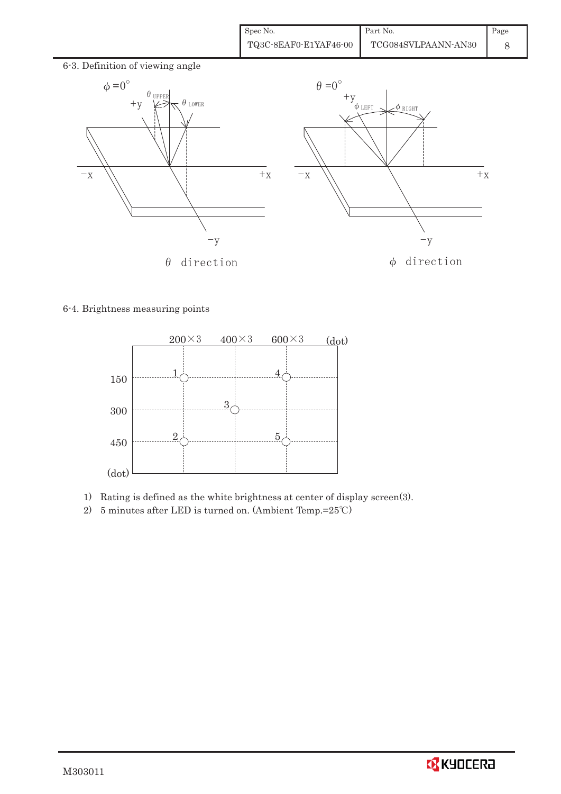| Spec No.              | Part No.            | $\blacksquare$ Page |
|-----------------------|---------------------|---------------------|
| TQ3C-8EAF0-E1YAF46-00 | TCG084SVLPAANN-AN30 |                     |



6-4. Brightness measuring points



- 1) Rating is defined as the white brightness at center of display screen(3).
- 2) 5 minutes after LED is turned on. (Ambient Temp.= $25^{\circ}$ C)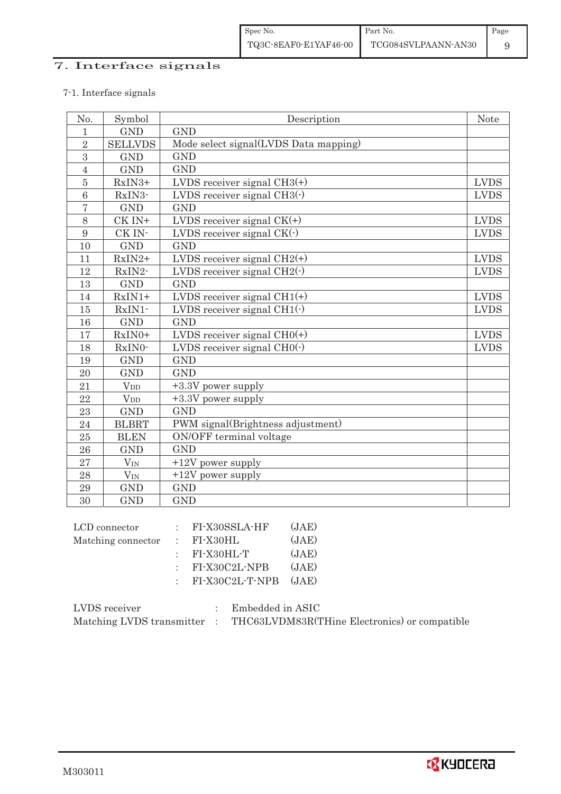## 7. Interface signals

## 7-1. Interface signals

| No.            | Symbol                | Description                           | <b>Note</b> |
|----------------|-----------------------|---------------------------------------|-------------|
| 1              | <b>GND</b>            | <b>GND</b>                            |             |
| $\overline{2}$ | <b>SELLVDS</b>        | Mode select signal(LVDS Data mapping) |             |
| 3              | <b>GND</b>            | <b>GND</b>                            |             |
| $\overline{4}$ | <b>GND</b>            | <b>GND</b>                            |             |
| $\overline{5}$ | RxIN3+                | LVDS receiver signal $CH3(+)$         | <b>LVDS</b> |
| 6              | RxIN3-                | LVDS receiver signal $CH3()$          | <b>LVDS</b> |
| $\overline{7}$ | <b>GND</b>            | <b>GND</b>                            |             |
| 8              | CK IN+                | LVDS receiver signal $CK(+)$          | <b>LVDS</b> |
| 9              | CK IN-                | LVDS receiver signal $CK(\cdot)$      | <b>LVDS</b> |
| 10             | <b>GND</b>            | <b>GND</b>                            |             |
| 11             | $RxIN2+$              | LVDS receiver signal $CH2(+)$         | <b>LVDS</b> |
| 12             | RxIN2-                | LVDS receiver signal $CH2(\cdot)$     | <b>LVDS</b> |
| 13             | <b>GND</b>            | <b>GND</b>                            |             |
| 14             | $RxIN1+$              | LVDS receiver signal $CH1(+)$         | <b>LVDS</b> |
| 15             | RxIN1-                | LVDS receiver signal $CH1(\cdot)$     | <b>LVDS</b> |
| 16             | <b>GND</b>            | <b>GND</b>                            |             |
| 17             | RxIN0+                | LVDS receiver signal $CHO(+)$         | <b>LVDS</b> |
| 18             | RxIN0-                | LVDS receiver signal $CHO(·)$         | <b>LVDS</b> |
| 19             | <b>GND</b>            | <b>GND</b>                            |             |
| 20             | <b>GND</b>            | <b>GND</b>                            |             |
| 21             | $V_{DD}$              | +3.3V power supply                    |             |
| 22             | <b>V</b> <sub>D</sub> | +3.3V power supply                    |             |
| 23             | <b>GND</b>            | <b>GND</b>                            |             |
| 24             | <b>BLBRT</b>          | PWM signal(Brightness adjustment)     |             |
| 25             | <b>BLEN</b>           | ON/OFF terminal voltage               |             |
| 26             | <b>GND</b>            | <b>GND</b>                            |             |
| 27             | $V_{IN}$              | +12V power supply                     |             |
| 28             | $V_{IN}$              | $+12V$ power supply                   |             |
| 29             | <b>GND</b>            | <b>GND</b>                            |             |
| 30             | <b>GND</b>            | <b>GND</b>                            |             |

| LCD connector      | $:$ FI-X30SSLA-HF         | (JAE) |
|--------------------|---------------------------|-------|
| Matching connector | $\therefore$ FI-X30HL     | (JAE) |
|                    | $:$ FI-X30HL-T            | (JAE) |
|                    | $:$ FI-X30C2L-NPB         | (JAE) |
|                    | $:$ FI-X30C2L-T-NPB (JAE) |       |
|                    |                           |       |

| LVDS receiver             | Embedded in ASIC                              |
|---------------------------|-----------------------------------------------|
| Matching LVDS transmitter | THC63LVDM83R(THine Electronics) or compatible |

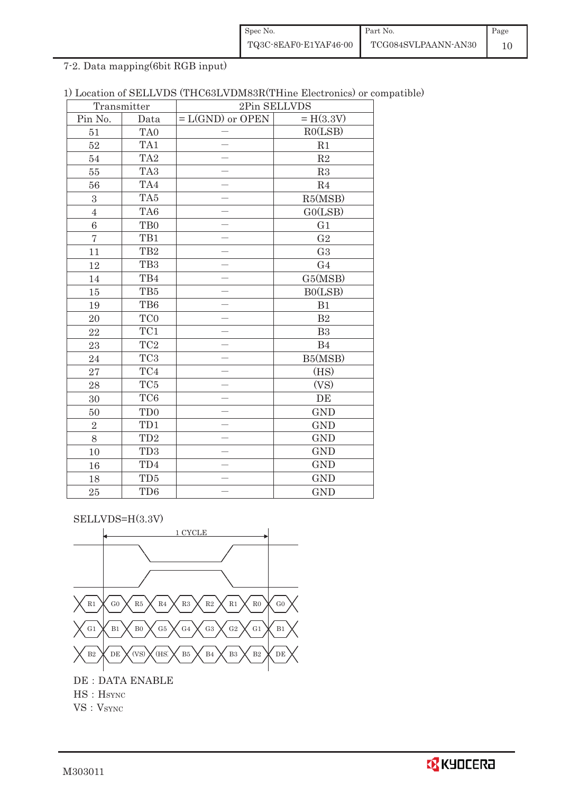| Spec No.              | Part No.            | Page |
|-----------------------|---------------------|------|
| TQ3C-8EAF0-E1YAF46-00 | TCG084SVLPAANN-AN30 |      |

7-2. Data mapping(6bit RGB input)

| 1) Location of SELLVDS (THC63LVDM83R(THine Electronics) or compatible) |  |
|------------------------------------------------------------------------|--|
|------------------------------------------------------------------------|--|

| Transmitter      |                 | 2Pin SELLVDS             |                |  |
|------------------|-----------------|--------------------------|----------------|--|
| Pin No.          | Data            | $= L(GND)$ or OPEN       | $= H(3.3V)$    |  |
| 51               | TA <sub>0</sub> |                          | RO(LSB)        |  |
| 52               | TA1             |                          | R1             |  |
| 54               | TA <sub>2</sub> |                          | $\mathbf{R}2$  |  |
| 55               | TA <sub>3</sub> |                          | R3             |  |
| 56               | TA4             |                          | $\mathbf{R}4$  |  |
| $\boldsymbol{3}$ | TA5             | $\overline{\phantom{0}}$ | R5(MSB)        |  |
| $\overline{4}$   | TA6             |                          | GO(LSB)        |  |
| $\overline{6}$   | T <sub>B0</sub> |                          | G1             |  |
| $\overline{7}$   | TB1             |                          | G <sub>2</sub> |  |
| 11               | TB <sub>2</sub> |                          | G <sub>3</sub> |  |
| 12               | TB <sub>3</sub> |                          | G <sub>4</sub> |  |
| $14\,$           | TB4             |                          | G5(MSB)        |  |
| 15               | TB5             |                          | B0(LSB)        |  |
| 19               | TB6             |                          | B1             |  |
| $20\,$           | TC <sub>0</sub> |                          | $\mathbf{B}2$  |  |
| 22               | TC1             |                          | B <sub>3</sub> |  |
| 23               | $\rm TC2$       |                          | B4             |  |
| 24               | $\rm TC3$       |                          | B5(MSB)        |  |
| 27               | $\mathrm{TC4}$  |                          | (HS)           |  |
| 28               | TC <sub>5</sub> |                          | (VS)           |  |
| 30               | TC <sub>6</sub> |                          | DE             |  |
| 50               | TD <sub>0</sub> |                          | <b>GND</b>     |  |
| $\sqrt{2}$       | TD1             |                          | <b>GND</b>     |  |
| 8                | TD <sub>2</sub> |                          | <b>GND</b>     |  |
| 10               | TD <sub>3</sub> |                          | <b>GND</b>     |  |
| 16               | TD4             |                          | <b>GND</b>     |  |
| 18               | TD <sub>5</sub> |                          | <b>GND</b>     |  |
| 25               | TD <sub>6</sub> |                          | <b>GND</b>     |  |

SELLVDS=H(3.3V)



 $HS : H<sub>SYNC</sub>$ 

VS: VSYNC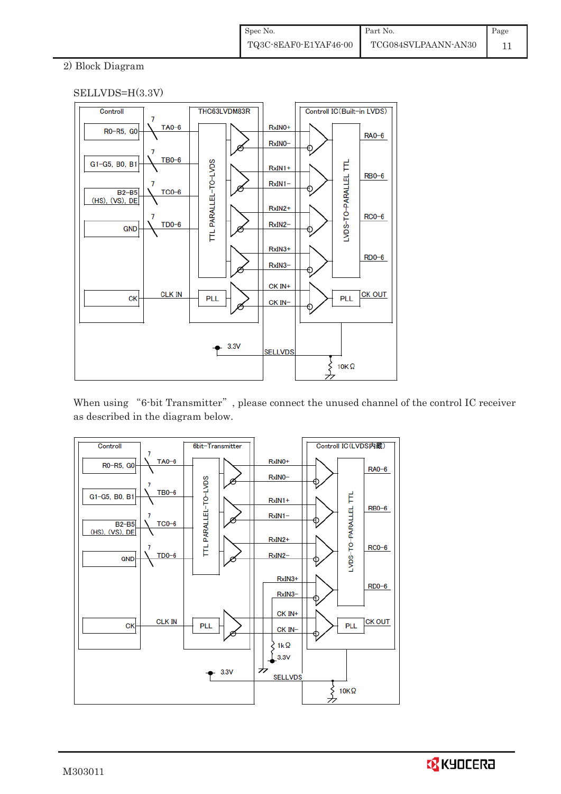#### 2) Block Diagram



When using "6-bit Transmitter", please connect the unused channel of the control IC receiver as described in the diagram below.



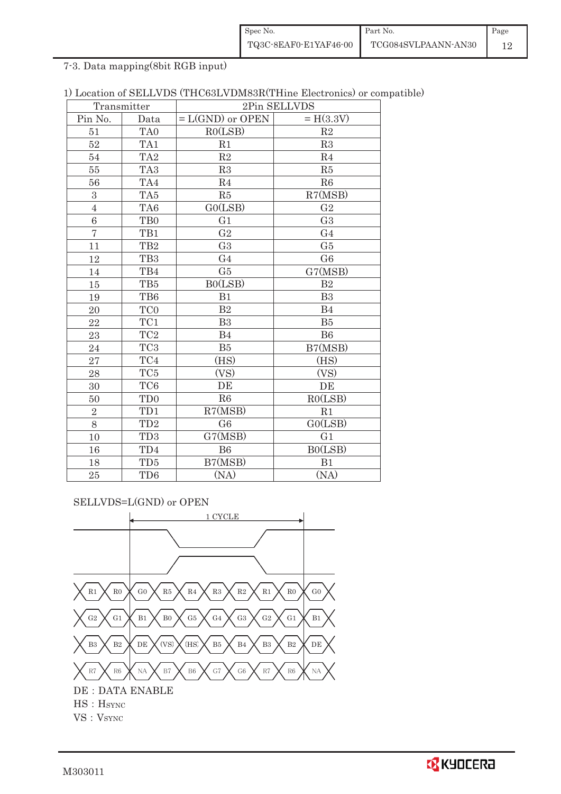| Spec No.              | Part No.            | Page |
|-----------------------|---------------------|------|
| TQ3C-8EAF0-E1YAF46-00 | TCG084SVLPAANN-AN30 |      |

7-3. Data mapping(8bit RGB input)

|  |  |  |  | 1) Location of SELLVDS (THC63LVDM83R(THine Electronics) or compatible) |  |  |
|--|--|--|--|------------------------------------------------------------------------|--|--|
|--|--|--|--|------------------------------------------------------------------------|--|--|

|                | Transmitter     | 2Pin SELLVDS       |                |  |
|----------------|-----------------|--------------------|----------------|--|
| Pin No.        | Data            | $= L(GND)$ or OPEN | $= H(3.3V)$    |  |
| 51             | TA0             | RO(LSB)            | R2             |  |
| 52             | TA1             | R1                 | R3             |  |
| 54             | TA <sub>2</sub> | $\mathbf{R}2$      | R4             |  |
| 55             | TA <sub>3</sub> | R3                 | R5             |  |
| 56             | TA4             | R <sub>4</sub>     | R6             |  |
| $\,3$          | TA5             | R5                 | R7(MSB)        |  |
| $\sqrt{4}$     | TA <sub>6</sub> | GO(LSB)            | G <sub>2</sub> |  |
| $\,6$          | T <sub>B0</sub> | G1                 | G <sub>3</sub> |  |
| $\overline{7}$ | TB1             | G <sub>2</sub>     | G <sub>4</sub> |  |
| 11             | TB <sub>2</sub> | G <sub>3</sub>     | G5             |  |
| 12             | TB <sub>3</sub> | G <sub>4</sub>     | G <sub>6</sub> |  |
| 14             | TB4             | G5                 | G7(MSB)        |  |
| 15             | TB5             | B0(LSB)            | B <sub>2</sub> |  |
| 19             | TB6             | B1                 | B <sub>3</sub> |  |
| 20             | TC <sub>0</sub> | $\mathbf{B}2$      | B <sub>4</sub> |  |
| 22             | TC1             | B3                 | B5             |  |
| 23             | $\rm TC2$       | B <sub>4</sub>     | <b>B6</b>      |  |
| 24             | TC <sub>3</sub> | B5                 | B7(MSB)        |  |
| 27             | TC4             | (HS)               | (HS)           |  |
| 28             | $\rm TC5$       | (VS)               | (VS)           |  |
| 30             | TC <sub>6</sub> | DE                 | DE             |  |
| 50             | TD <sub>0</sub> | R6                 | RO(LSB)        |  |
| $\overline{2}$ | TD1             | R7(MSB)            | R1             |  |
| 8              | TD <sub>2</sub> | G <sub>6</sub>     | GO(LSB)        |  |
| 10             | TD <sub>3</sub> | G7(MSB)            | G1             |  |
| 16             | TD4             | <b>B6</b>          | BO(LSB)        |  |
| 18             | TD <sub>5</sub> | B7(MSB)            | B1             |  |
| 25             | TD <sub>6</sub> | (NA)               | (NA)           |  |

SELLVDS=L(GND) or OPEN

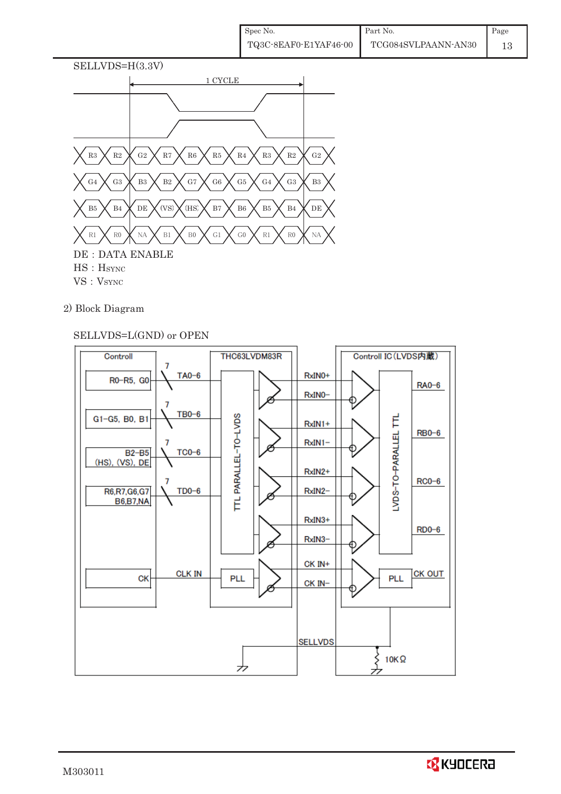

- VS: VSYNC
- 2) Block Diagram

### SELLVDS=L(GND) or OPEN

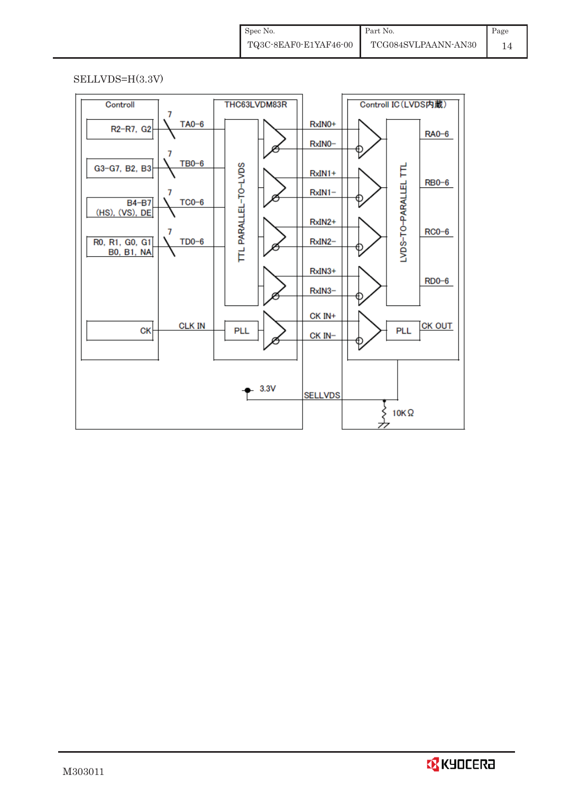#### SELLVDS=H(3.3V)

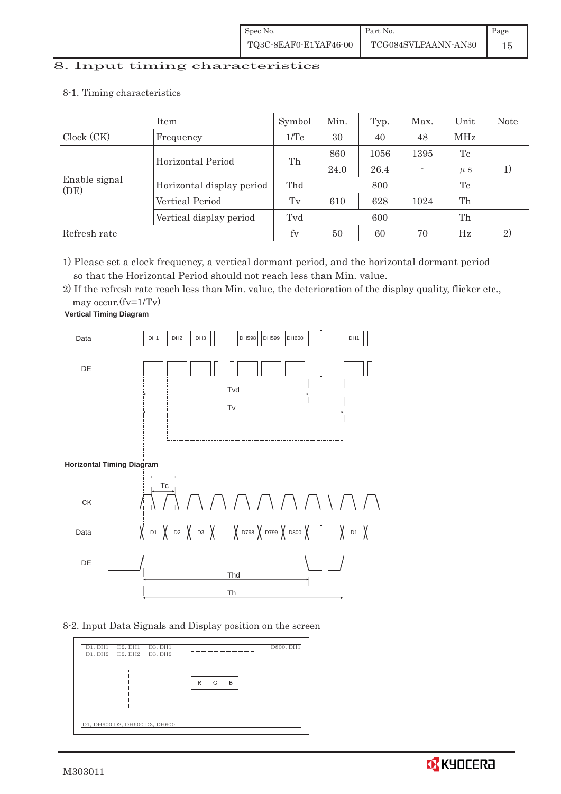# 8. Input timing characteristics  $\overline{\phantom{a}}$

- Item Symbol Min. Typ. Max. Unit Note Clock (CK) Frequency  $1/Tc$  30 40 48 MHz Enable signal (DE) Horizontal Period Th 860 1056 1395 Tc 24.0  $26.4$  -  $\mu s$  1) Horizontal display period Thd 800 Tc Vertical Period Tv 610 628 1024 Th Vertical display period Tvd 600 fh Refresh rate fv 50 60 70 Hz 2)
- 8-1. Timing characteristics

1) Please set a clock frequency, a vertical dormant period, and the horizontal dormant period so that the Horizontal Period should not reach less than Min. value.

2) If the refresh rate reach less than Min. value, the deterioration of the display quality, flicker etc.,

may occur.(fv=1/Tv)



8-2. Input Data Signals and Display position on the screen



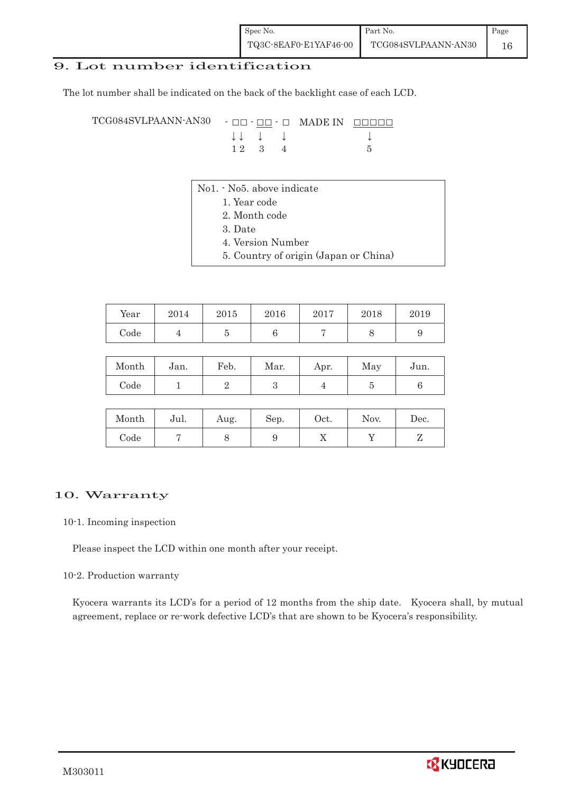#### 9. Lot number identification

The lot number shall be indicated on the back of the backlight case of each LCD.

TCG084SVLPAANN-AN30 - OO - OO - O MADE IN OOOOO  $\downarrow \downarrow \quad \downarrow \quad \downarrow \qquad \qquad \downarrow$  $1 2 3 4 5$ 

- No1. No5. above indicate
	- 1. Year code
		- 2. Month code
		- 3. Date
		- 4. Version Number
		- 5. Country of origin (Japan or China)

| Year | 2014 | 2015 | 2016 | 2017 | 2018 | 2019 |
|------|------|------|------|------|------|------|
| Code |      |      |      |      |      |      |

| Month | Jan. | Feb. | Mar. | Apr. | May | Jun. |
|-------|------|------|------|------|-----|------|
| Code  |      |      |      |      |     |      |

| Month | Jul. | Aug. | Sep. | Oct. | Nov. | Dec. |
|-------|------|------|------|------|------|------|
| Code  |      |      |      | ∡⊾   |      |      |

#### 10. Warranty

#### 10-1. Incoming inspection

Please inspect the LCD within one month after your receipt.

#### 10-2. Production warranty

 Kyocera warrants its LCD's for a period of 12 months from the ship date. Kyocera shall, by mutual agreement, replace or re-work defective LCD's that are shown to be Kyocera's responsibility.

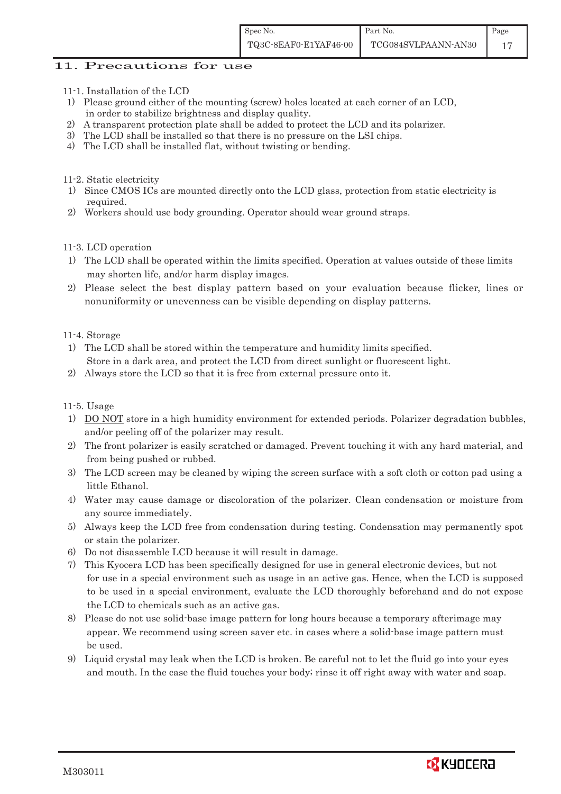#### 11. Precautions for use

- 11-1. Installation of the LCD
- 1) Please ground either of the mounting (screw) holes located at each corner of an LCD, in order to stabilize brightness and display quality.
- 2) A transparent protection plate shall be added to protect the LCD and its polarizer.
- 3) The LCD shall be installed so that there is no pressure on the LSI chips.
- 4) The LCD shall be installed flat, without twisting or bending.
- 11-2. Static electricity
- 1) Since CMOS ICs are mounted directly onto the LCD glass, protection from static electricity is required.
- 2) Workers should use body grounding. Operator should wear ground straps.

#### 11-3. LCD operation

- 1) The LCD shall be operated within the limits specified. Operation at values outside of these limits may shorten life, and/or harm display images.
- 2) Please select the best display pattern based on your evaluation because flicker, lines or nonuniformity or unevenness can be visible depending on display patterns.

11-4. Storage

- 1) The LCD shall be stored within the temperature and humidity limits specified. Store in a dark area, and protect the LCD from direct sunlight or fluorescent light.
- 2) Always store the LCD so that it is free from external pressure onto it.

11-5. Usage

- 1) DO NOT store in a high humidity environment for extended periods. Polarizer degradation bubbles, and/or peeling off of the polarizer may result.
- 2) The front polarizer is easily scratched or damaged. Prevent touching it with any hard material, and from being pushed or rubbed.
- 3) The LCD screen may be cleaned by wiping the screen surface with a soft cloth or cotton pad using a little Ethanol.
- 4) Water may cause damage or discoloration of the polarizer. Clean condensation or moisture from any source immediately.
- 5) Always keep the LCD free from condensation during testing. Condensation may permanently spot or stain the polarizer.
- 6) Do not disassemble LCD because it will result in damage.
- 7) This Kyocera LCD has been specifically designed for use in general electronic devices, but not for use in a special environment such as usage in an active gas. Hence, when the LCD is supposed to be used in a special environment, evaluate the LCD thoroughly beforehand and do not expose the LCD to chemicals such as an active gas.
- 8) Please do not use solid-base image pattern for long hours because a temporary afterimage may appear. We recommend using screen saver etc. in cases where a solid-base image pattern must be used.
- 9) Liquid crystal may leak when the LCD is broken. Be careful not to let the fluid go into your eyes and mouth. In the case the fluid touches your body; rinse it off right away with water and soap.

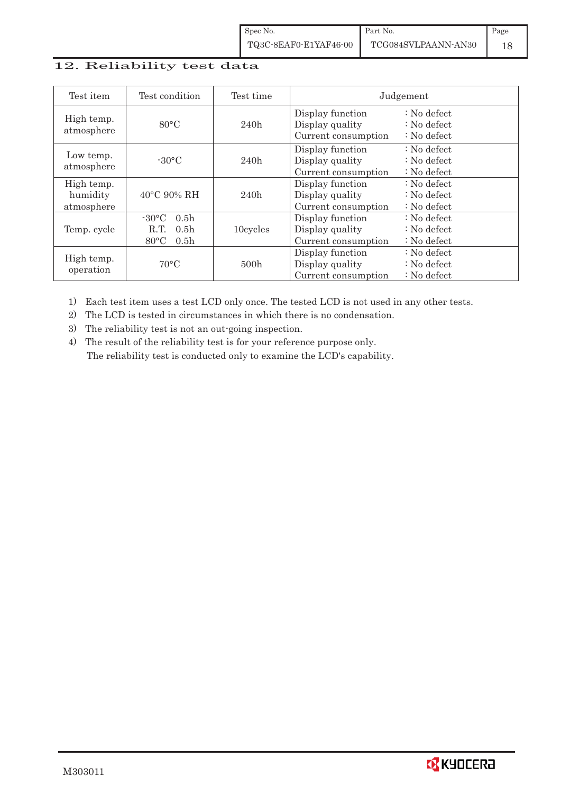## 12. Reliability test data

| Test item                            | Test condition                                                                                        | Test time | Judgement                                                  |                                                                            |
|--------------------------------------|-------------------------------------------------------------------------------------------------------|-----------|------------------------------------------------------------|----------------------------------------------------------------------------|
| High temp.<br>atmosphere             | $80^{\circ}$ C                                                                                        | 240h      | Display function<br>Display quality<br>Current consumption | $\therefore$ No defect<br>$\therefore$ No defect<br>$\therefore$ No defect |
| Low temp.<br>atmosphere              | $-30^{\circ}$ C                                                                                       | 240h      | Display function<br>Display quality<br>Current consumption | $\therefore$ No defect<br>$\therefore$ No defect<br>$\therefore$ No defect |
| High temp.<br>humidity<br>atmosphere | $40^{\circ}$ C 90% RH                                                                                 | 240h      | Display function<br>Display quality<br>Current consumption | : No defect<br>$\therefore$ No defect<br>$\therefore$ No defect            |
| Temp. cycle                          | $-30^{\circ}$ C<br>0.5 <sub>h</sub><br>0.5 <sub>h</sub><br>R.T.<br>$80^{\circ}$ C<br>0.5 <sub>h</sub> | 10cycles  | Display function<br>Display quality<br>Current consumption | $\therefore$ No defect<br>$\therefore$ No defect<br>$\therefore$ No defect |
| High temp.<br>operation              | $70^{\circ}$ C                                                                                        | 500h      | Display function<br>Display quality<br>Current consumption | $\therefore$ No defect<br>$\therefore$ No defect<br>$\therefore$ No defect |

1) Each test item uses a test LCD only once. The tested LCD is not used in any other tests.

2) The LCD is tested in circumstances in which there is no condensation.

3) The reliability test is not an out-going inspection.

4) The result of the reliability test is for your reference purpose only. The reliability test is conducted only to examine the LCD's capability.

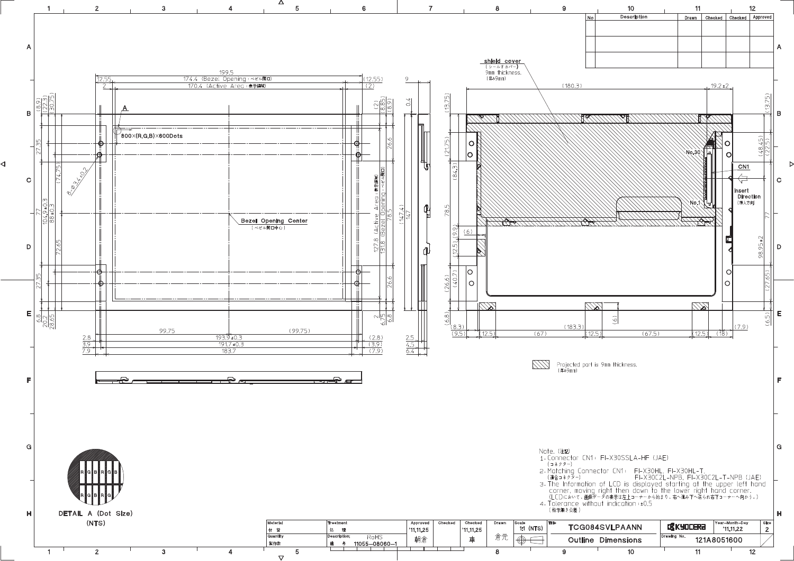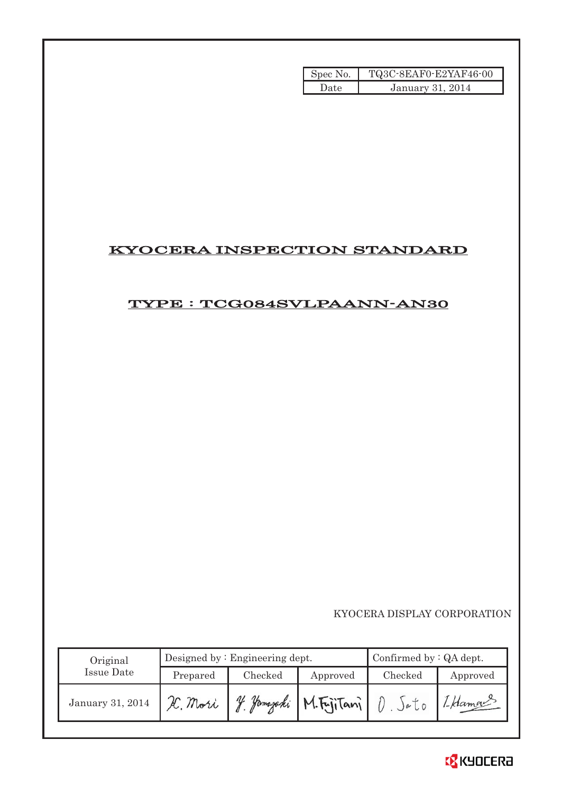| Spec No. | TQ3C-8EAF0-E2YAF46-00 |
|----------|-----------------------|
| Date.    | January 31, 2014      |

## KYOCERA INSPECTION STANDARD

## TYPE : TCG084SVLPAANN-AN30

|                   |          |                                 | Spec No.   | TQ3C-8EAF0-E2YAF46-00              |                     |
|-------------------|----------|---------------------------------|------------|------------------------------------|---------------------|
|                   |          |                                 | Date       | January 31, 2014                   |                     |
|                   |          |                                 |            |                                    |                     |
|                   |          |                                 |            |                                    |                     |
|                   |          |                                 |            |                                    |                     |
|                   |          |                                 |            |                                    |                     |
|                   |          |                                 |            |                                    |                     |
|                   |          |                                 |            |                                    |                     |
|                   |          |                                 |            |                                    |                     |
|                   |          |                                 |            |                                    |                     |
|                   |          |                                 |            | <b>KYOCERA INSPECTION STANDARD</b> |                     |
|                   |          |                                 |            |                                    |                     |
|                   |          |                                 |            |                                    |                     |
|                   |          |                                 |            | TYPE : TCG084SVLPAANN-AN30         |                     |
|                   |          |                                 |            |                                    |                     |
|                   |          |                                 |            |                                    |                     |
|                   |          |                                 |            |                                    |                     |
|                   |          |                                 |            |                                    |                     |
|                   |          |                                 |            |                                    |                     |
|                   |          |                                 |            |                                    |                     |
|                   |          |                                 |            |                                    |                     |
|                   |          |                                 |            |                                    |                     |
|                   |          |                                 |            |                                    |                     |
|                   |          |                                 |            |                                    |                     |
|                   |          |                                 |            |                                    |                     |
|                   |          |                                 |            |                                    |                     |
|                   |          |                                 |            |                                    |                     |
|                   |          |                                 |            |                                    |                     |
|                   |          |                                 |            |                                    |                     |
|                   |          |                                 |            |                                    |                     |
|                   |          |                                 |            |                                    |                     |
|                   |          |                                 |            |                                    |                     |
|                   |          |                                 |            |                                    |                     |
|                   |          |                                 |            | KYOCERA DISPLAY CORPORATION        |                     |
|                   |          |                                 |            |                                    |                     |
| Original          |          | Designed by : Engineering dept. |            | Confirmed by : QA dept.            |                     |
| <b>Issue Date</b> | Prepared | Checked                         | Approved   | Checked                            |                     |
|                   |          |                                 |            |                                    |                     |
| January 31, 2014  | H. Mori  | y. Jamazaki                     | M.FyjiTani | $D.$ $Sato$                        | Approved<br>I Haman |
|                   |          |                                 |            |                                    |                     |

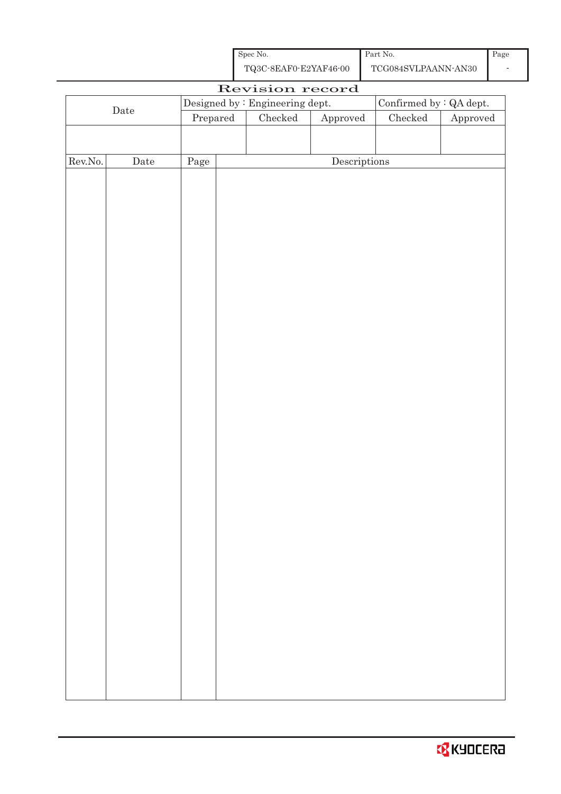| Spec No.              | Part No.            | Page |
|-----------------------|---------------------|------|
| TQ3C-8EAF0-E2YAF46-00 | TCG084SVLPAANN-AN30 |      |

|         |              |          | Revision record                 |              |                                |          |
|---------|--------------|----------|---------------------------------|--------------|--------------------------------|----------|
|         |              |          | Designed by : Engineering dept. |              | Confirmed by $\colon$ QA dept. |          |
|         | $\rm{Date}$  | Prepared | $\rm Checked$                   | Approved     | $\rm Checked$                  | Approved |
|         |              |          |                                 |              |                                |          |
|         |              |          |                                 |              |                                |          |
| Rev.No. | ${\it Date}$ | Page     |                                 | Descriptions |                                |          |
|         |              |          |                                 |              |                                |          |
|         |              |          |                                 |              |                                |          |
|         |              |          |                                 |              |                                |          |
|         |              |          |                                 |              |                                |          |
|         |              |          |                                 |              |                                |          |
|         |              |          |                                 |              |                                |          |
|         |              |          |                                 |              |                                |          |
|         |              |          |                                 |              |                                |          |
|         |              |          |                                 |              |                                |          |
|         |              |          |                                 |              |                                |          |
|         |              |          |                                 |              |                                |          |
|         |              |          |                                 |              |                                |          |
|         |              |          |                                 |              |                                |          |
|         |              |          |                                 |              |                                |          |
|         |              |          |                                 |              |                                |          |
|         |              |          |                                 |              |                                |          |
|         |              |          |                                 |              |                                |          |
|         |              |          |                                 |              |                                |          |
|         |              |          |                                 |              |                                |          |
|         |              |          |                                 |              |                                |          |
|         |              |          |                                 |              |                                |          |
|         |              |          |                                 |              |                                |          |
|         |              |          |                                 |              |                                |          |
|         |              |          |                                 |              |                                |          |
|         |              |          |                                 |              |                                |          |
|         |              |          |                                 |              |                                |          |
|         |              |          |                                 |              |                                |          |
|         |              |          |                                 |              |                                |          |
|         |              |          |                                 |              |                                |          |
|         |              |          |                                 |              |                                |          |
|         |              |          |                                 |              |                                |          |
|         |              |          |                                 |              |                                |          |
|         |              |          |                                 |              |                                |          |
|         |              |          |                                 |              |                                |          |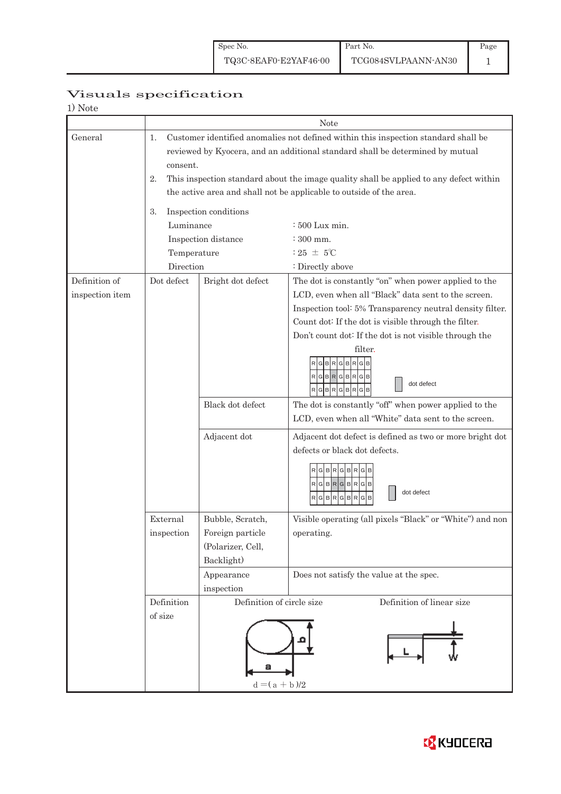|                 |                                                                                          |                                                                                              | <b>Note</b>                                                                                          |  |  |  |  |  |  |
|-----------------|------------------------------------------------------------------------------------------|----------------------------------------------------------------------------------------------|------------------------------------------------------------------------------------------------------|--|--|--|--|--|--|
| General         | Customer identified anomalies not defined within this inspection standard shall be<br>1. |                                                                                              |                                                                                                      |  |  |  |  |  |  |
|                 |                                                                                          | reviewed by Kyocera, and an additional standard shall be determined by mutual<br>consent.    |                                                                                                      |  |  |  |  |  |  |
|                 |                                                                                          | 2.<br>This inspection standard about the image quality shall be applied to any defect within |                                                                                                      |  |  |  |  |  |  |
|                 |                                                                                          |                                                                                              |                                                                                                      |  |  |  |  |  |  |
|                 | the active area and shall not be applicable to outside of the area.                      |                                                                                              |                                                                                                      |  |  |  |  |  |  |
|                 | 3.                                                                                       | Inspection conditions                                                                        |                                                                                                      |  |  |  |  |  |  |
|                 | Luminance                                                                                |                                                                                              | $\div 500$ Lux min.                                                                                  |  |  |  |  |  |  |
|                 |                                                                                          | Inspection distance                                                                          | $\div 300$ mm.                                                                                       |  |  |  |  |  |  |
|                 | Temperature                                                                              |                                                                                              | $:25 \pm 5^{\circ}$ C                                                                                |  |  |  |  |  |  |
|                 | Direction                                                                                |                                                                                              | : Directly above                                                                                     |  |  |  |  |  |  |
| Definition of   | Dot defect                                                                               | Bright dot defect                                                                            | The dot is constantly "on" when power applied to the                                                 |  |  |  |  |  |  |
| inspection item |                                                                                          |                                                                                              | LCD, even when all "Black" data sent to the screen.                                                  |  |  |  |  |  |  |
|                 |                                                                                          |                                                                                              | Inspection tool: 5% Transparency neutral density filter.                                             |  |  |  |  |  |  |
|                 |                                                                                          |                                                                                              | Count dot: If the dot is visible through the filter.                                                 |  |  |  |  |  |  |
|                 |                                                                                          |                                                                                              | Don't count dot: If the dot is not visible through the                                               |  |  |  |  |  |  |
|                 |                                                                                          |                                                                                              | filter.<br>G<br>$R$ G $B$ $R$ G $B$ $R$<br>G<br>dot defect<br>$RG$ B $RG$ B $RG$ B                   |  |  |  |  |  |  |
|                 |                                                                                          | Black dot defect                                                                             | The dot is constantly "off" when power applied to the                                                |  |  |  |  |  |  |
|                 |                                                                                          |                                                                                              | LCD, even when all "White" data sent to the screen.                                                  |  |  |  |  |  |  |
|                 |                                                                                          | Adjacent dot                                                                                 | Adjacent dot defect is defined as two or more bright dot                                             |  |  |  |  |  |  |
|                 |                                                                                          |                                                                                              | defects or black dot defects.                                                                        |  |  |  |  |  |  |
|                 |                                                                                          |                                                                                              | <b>BRGBR</b><br>$R$ G $B$ R $G$ B $R$ G $B$<br>dot defect<br>RGBRGBRGB<br><u> Literatur Literatu</u> |  |  |  |  |  |  |
|                 | External                                                                                 | Bubble, Scratch,                                                                             | Visible operating (all pixels "Black" or "White") and non                                            |  |  |  |  |  |  |
|                 | $\operatorname{in}_{\operatorname{spection}}$                                            | Foreign particle                                                                             | operating.                                                                                           |  |  |  |  |  |  |
|                 |                                                                                          | (Polarizer, Cell,                                                                            |                                                                                                      |  |  |  |  |  |  |
|                 |                                                                                          | Backlight)                                                                                   |                                                                                                      |  |  |  |  |  |  |
|                 |                                                                                          | Appearance                                                                                   | Does not satisfy the value at the spec.                                                              |  |  |  |  |  |  |
|                 |                                                                                          | inspection                                                                                   |                                                                                                      |  |  |  |  |  |  |
|                 | Definition                                                                               | Definition of circle size<br>Definition of linear size                                       |                                                                                                      |  |  |  |  |  |  |

 $d = (a + b)/2$ 

a

of size